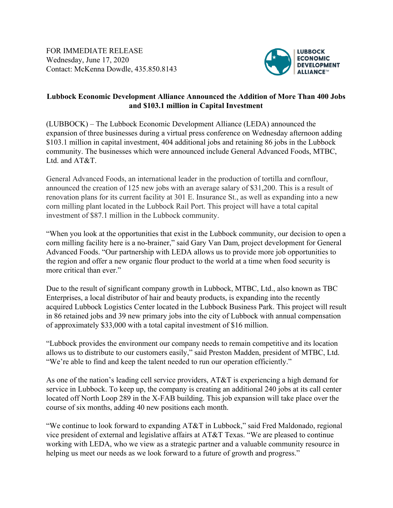FOR IMMEDIATE RELEASE Wednesday, June 17, 2020 Contact: McKenna Dowdle, 435.850.8143



## **Lubbock Economic Development Alliance Announced the Addition of More Than 400 Jobs and \$103.1 million in Capital Investment**

(LUBBOCK) – The Lubbock Economic Development Alliance (LEDA) announced the expansion of three businesses during a virtual press conference on Wednesday afternoon adding \$103.1 million in capital investment, 404 additional jobs and retaining 86 jobs in the Lubbock community. The businesses which were announced include General Advanced Foods, MTBC, Ltd. and AT&T.

General Advanced Foods, an international leader in the production of tortilla and cornflour, announced the creation of 125 new jobs with an average salary of \$31,200. This is a result of renovation plans for its current facility at 301 E. Insurance St., as well as expanding into a new corn milling plant located in the Lubbock Rail Port. This project will have a total capital investment of \$87.1 million in the Lubbock community.

"When you look at the opportunities that exist in the Lubbock community, our decision to open a corn milling facility here is a no-brainer," said Gary Van Dam, project development for General Advanced Foods. "Our partnership with LEDA allows us to provide more job opportunities to the region and offer a new organic flour product to the world at a time when food security is more critical than ever."

Due to the result of significant company growth in Lubbock, MTBC, Ltd., also known as TBC Enterprises, a local distributor of hair and beauty products, is expanding into the recently acquired Lubbock Logistics Center located in the Lubbock Business Park. This project will result in 86 retained jobs and 39 new primary jobs into the city of Lubbock with annual compensation of approximately \$33,000 with a total capital investment of \$16 million.

"Lubbock provides the environment our company needs to remain competitive and its location allows us to distribute to our customers easily," said Preston Madden, president of MTBC, Ltd. "We're able to find and keep the talent needed to run our operation efficiently."

As one of the nation's leading cell service providers, AT&T is experiencing a high demand for service in Lubbock. To keep up, the company is creating an additional 240 jobs at its call center located off North Loop 289 in the X-FAB building. This job expansion will take place over the course of six months, adding 40 new positions each month.

"We continue to look forward to expanding AT&T in Lubbock," said Fred Maldonado, regional vice president of external and legislative affairs at AT&T Texas. "We are pleased to continue working with LEDA, who we view as a strategic partner and a valuable community resource in helping us meet our needs as we look forward to a future of growth and progress."